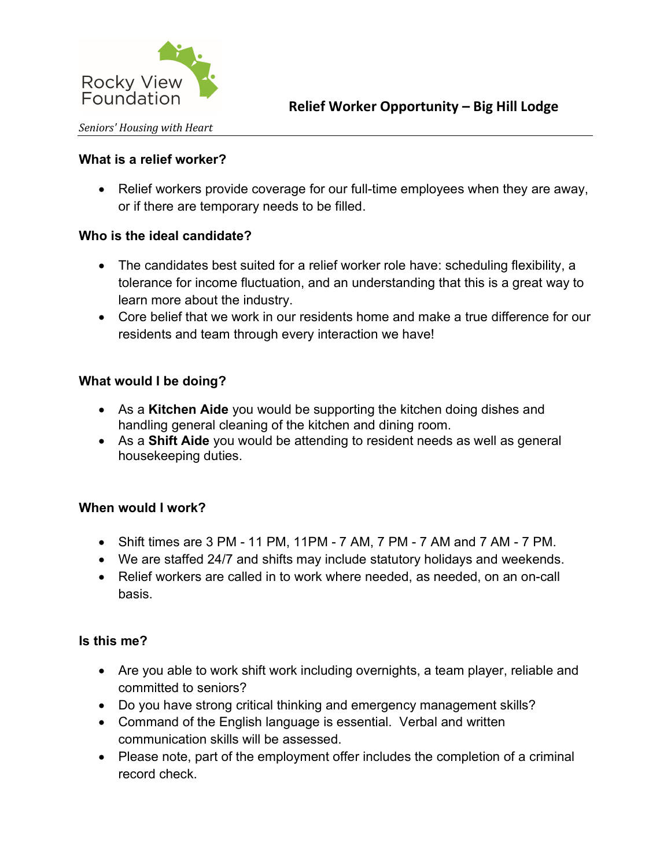

## What is a relief worker?

 Relief workers provide coverage for our full-time employees when they are away, or if there are temporary needs to be filled.

# Who is the ideal candidate?

- The candidates best suited for a relief worker role have: scheduling flexibility, a tolerance for income fluctuation, and an understanding that this is a great way to learn more about the industry.
- Core belief that we work in our residents home and make a true difference for our residents and team through every interaction we have!

## What would I be doing?

- As a Kitchen Aide you would be supporting the kitchen doing dishes and handling general cleaning of the kitchen and dining room.
- As a Shift Aide you would be attending to resident needs as well as general housekeeping duties.

#### When would I work?

- Shift times are 3 PM 11 PM, 11PM 7 AM, 7 PM 7 AM and 7 AM 7 PM.
- We are staffed 24/7 and shifts may include statutory holidays and weekends.
- Relief workers are called in to work where needed, as needed, on an on-call basis.

#### Is this me?

- Are you able to work shift work including overnights, a team player, reliable and committed to seniors?
- Do you have strong critical thinking and emergency management skills?
- Command of the English language is essential. Verbal and written communication skills will be assessed.
- Please note, part of the employment offer includes the completion of a criminal record check.